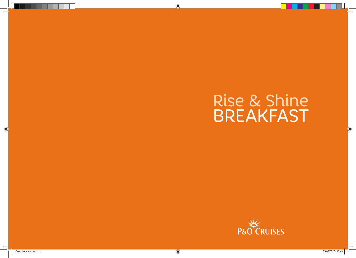# Rise & Shine BREAKFAST



 $\bigoplus$ 

 $\bigcirc$ 

 $\bigoplus$